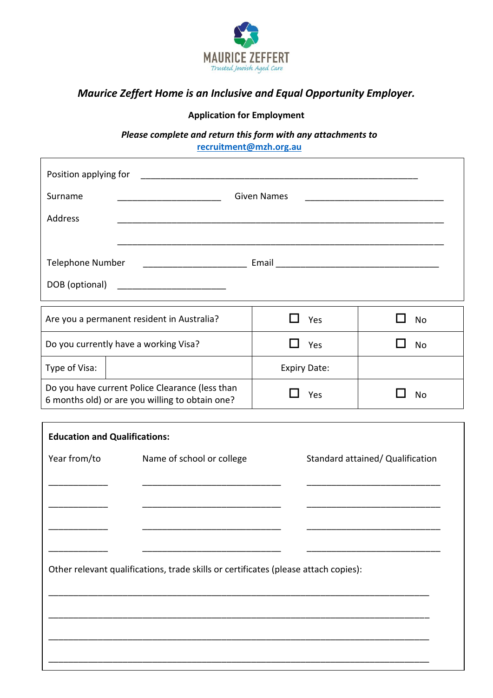

# *Maurice Zeffert Home is an Inclusive and Equal Opportunity Employer.*

# **Application for Employment**

*Please complete and return this form with any attachments to*  **[recruitment@mzh.org.au](mailto:recruitment@mzh.org.au)**

| Position applying for                                                                              |  |                    |                                  |           |  |
|----------------------------------------------------------------------------------------------------|--|--------------------|----------------------------------|-----------|--|
| Surname                                                                                            |  | <b>Given Names</b> |                                  |           |  |
| Address                                                                                            |  |                    |                                  |           |  |
|                                                                                                    |  |                    |                                  |           |  |
| Telephone Number                                                                                   |  |                    |                                  |           |  |
| DOB (optional)                                                                                     |  |                    |                                  |           |  |
| Are you a permanent resident in Australia?                                                         |  |                    | Yes                              | <b>No</b> |  |
| Do you currently have a working Visa?                                                              |  |                    | Yes                              | No        |  |
| Type of Visa:                                                                                      |  |                    | <b>Expiry Date:</b>              |           |  |
| Do you have current Police Clearance (less than<br>6 months old) or are you willing to obtain one? |  |                    | Yes                              | <b>No</b> |  |
|                                                                                                    |  |                    |                                  |           |  |
| <b>Education and Qualifications:</b>                                                               |  |                    |                                  |           |  |
| Year from/to<br>Name of school or college                                                          |  |                    | Standard attained/ Qualification |           |  |
|                                                                                                    |  |                    |                                  |           |  |
|                                                                                                    |  |                    |                                  |           |  |
|                                                                                                    |  |                    |                                  |           |  |
|                                                                                                    |  |                    |                                  |           |  |
| Other relevant qualifications, trade skills or certificates (please attach copies):                |  |                    |                                  |           |  |
|                                                                                                    |  |                    |                                  |           |  |
|                                                                                                    |  |                    |                                  |           |  |
|                                                                                                    |  |                    |                                  |           |  |
|                                                                                                    |  |                    |                                  |           |  |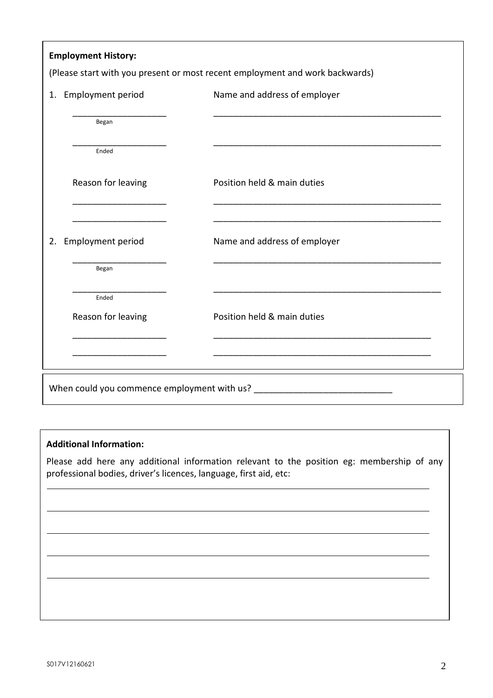| <b>Employment History:</b>     | (Please start with you present or most recent employment and work backwards) |
|--------------------------------|------------------------------------------------------------------------------|
| <b>Employment period</b><br>1. | Name and address of employer                                                 |
| Began                          |                                                                              |
| Ended                          |                                                                              |
| Reason for leaving             | Position held & main duties                                                  |
| <b>Employment period</b><br>2. | Name and address of employer                                                 |
| Began                          |                                                                              |
| Ended<br>Reason for leaving    | Position held & main duties                                                  |
|                                |                                                                              |
|                                | When could you commence employment with us?                                  |

## **Additional Information:**

Please add here any additional information relevant to the position eg: membership of any professional bodies, driver's licences, language, first aid, etc: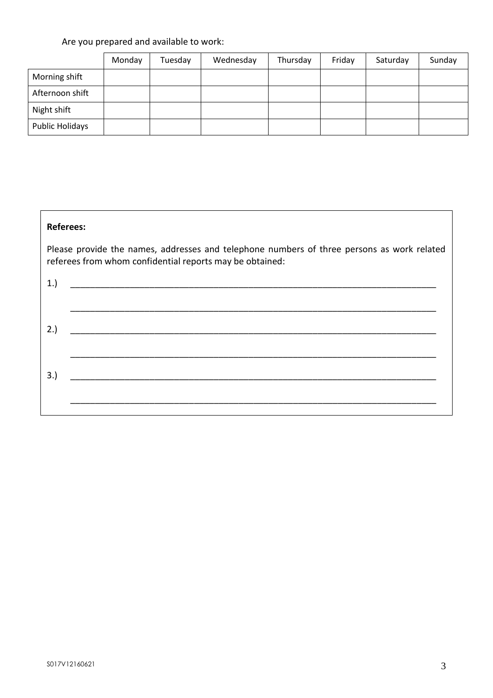# Are you prepared and available to work:

|                 | Monday | Tuesday | Wednesday | Thursday | Friday | Saturday | Sunday |
|-----------------|--------|---------|-----------|----------|--------|----------|--------|
| Morning shift   |        |         |           |          |        |          |        |
| Afternoon shift |        |         |           |          |        |          |        |
| Night shift     |        |         |           |          |        |          |        |
| Public Holidays |        |         |           |          |        |          |        |

## **Referees:**

Please provide the names, addresses and telephone numbers of three persons as work related referees from whom confidential reports may be obtained: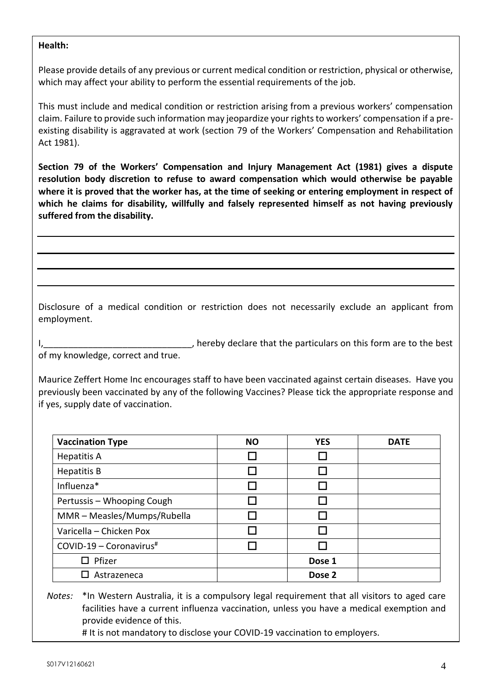### **Health:**

Please provide details of any previous or current medical condition or restriction, physical or otherwise, which may affect your ability to perform the essential requirements of the job.

This must include and medical condition or restriction arising from a previous workers' compensation claim. Failure to provide such information may jeopardize your rights to workers' compensation if a preexisting disability is aggravated at work (section 79 of the Workers' Compensation and Rehabilitation Act 1981).

**Section 79 of the Workers' Compensation and Injury Management Act (1981) gives a dispute resolution body discretion to refuse to award compensation which would otherwise be payable where it is proved that the worker has, at the time of seeking or entering employment in respect of which he claims for disability, willfully and falsely represented himself as not having previously suffered from the disability.**

Disclosure of a medical condition or restriction does not necessarily exclude an applicant from employment.

, hereby declare that the particulars on this form are to the best of my knowledge, correct and true.

Maurice Zeffert Home Inc encourages staff to have been vaccinated against certain diseases. Have you previously been vaccinated by any of the following Vaccines? Please tick the appropriate response and if yes, supply date of vaccination.

| <b>Vaccination Type</b>     | <b>NO</b> | <b>YES</b> | <b>DATE</b> |
|-----------------------------|-----------|------------|-------------|
| <b>Hepatitis A</b>          |           |            |             |
| <b>Hepatitis B</b>          |           |            |             |
| Influenza*                  |           |            |             |
| Pertussis - Whooping Cough  |           |            |             |
| MMR - Measles/Mumps/Rubella |           |            |             |
| Varicella - Chicken Pox     |           |            |             |
| $COVID-19 - Coronavirus$ #  |           |            |             |
| Pfizer                      |           | Dose 1     |             |
| Astrazeneca                 |           | Dose 2     |             |

*Notes:* \*In Western Australia, it is a compulsory legal requirement that all visitors to aged care facilities have a current influenza vaccination, unless you have a medical exemption and provide evidence of this.

# It is not mandatory to disclose your COVID-19 vaccination to employers.